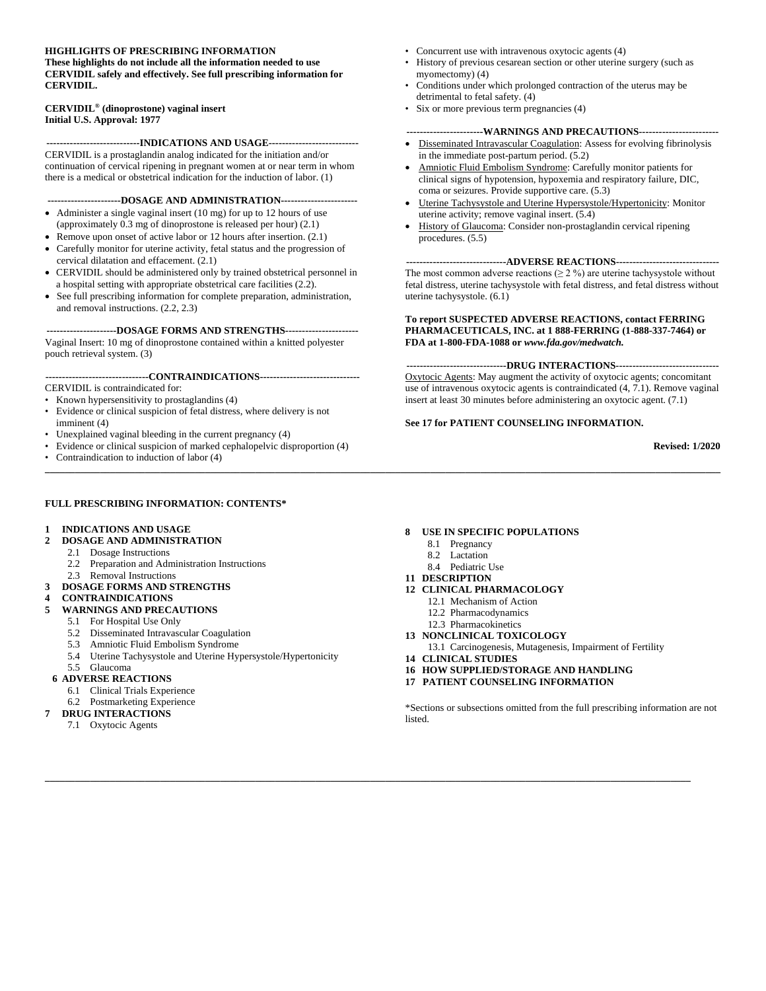#### **HIGHLIGHTS OF PRESCRIBING INFORMATION**

**These highlights do not include all the information needed to use CERVIDIL safely and effectively. See full prescribing information for CERVIDIL.**

#### **CERVIDIL® (dinoprostone) vaginal insert Initial U.S. Approval: 1977**

**----------------------------INDICATIONS AND USAGE---------------------------** CERVIDIL is a prostaglandin analog indicated for the initiation and/or continuation of cervical ripening in pregnant women at or near term in whom there is a medical or obstetrical indication for the induction of labor. (1)

**----------------------DOSAGE AND ADMINISTRATION-----------------------**

- Administer a single vaginal insert (10 mg) for up to 12 hours of use (approximately 0.3 mg of dinoprostone is released per hour) (2.1)
- Remove upon onset of active labor or 12 hours after insertion.  $(2.1)$
- Carefully monitor for uterine activity, fetal status and the progression of cervical dilatation and effacement. (2.1)
- CERVIDIL should be administered only by trained obstetrical personnel in a hospital setting with appropriate obstetrical care facilities (2.2).
- See full prescribing information for complete preparation, administration, and removal instructions. (2.2, 2.3)

#### **---------------------DOSAGE FORMS AND STRENGTHS----------------------**

Vaginal Insert: 10 mg of dinoprostone contained within a knitted polyester pouch retrieval system. (3)

#### **-------------------------------CONTRAINDICATIONS------------------------------**

CERVIDIL is contraindicated for:

- Known hypersensitivity to prostaglandins (4)
- Evidence or clinical suspicion of fetal distress, where delivery is not imminent (4)
- Unexplained vaginal bleeding in the current pregnancy (4)
- Evidence or clinical suspicion of marked cephalopelvic disproportion (4) • Contraindication to induction of labor (4)
- **\_\_\_\_\_\_\_\_\_\_\_\_\_\_\_\_\_\_\_\_\_\_\_\_\_\_\_\_\_\_\_\_\_\_\_\_\_\_\_\_\_\_\_\_\_\_\_\_\_\_\_\_\_\_\_\_\_\_\_\_\_\_\_\_\_\_\_\_\_\_\_\_\_\_\_\_\_\_\_\_\_\_\_\_\_\_\_\_\_\_\_\_\_\_\_\_\_\_\_\_\_\_\_\_\_\_\_\_\_\_\_\_\_\_\_\_\_\_\_\_\_\_\_\_\_\_\_\_\_\_\_\_\_\_\_**

#### **FULL PRESCRIBING INFORMATION: CONTENTS\***

#### **1 INDICATIONS AND USAGE**

- **2 DOSAGE AND ADMINISTRATION**
	- 2.1 Dosage Instructions
	- 2.2 Preparation and Administration Instructions
- 2.3 Removal Instructions
- **3 DOSAGE FORMS AND STRENGTHS**

#### **4 CONTRAINDICATIONS**

- **5 WARNINGS AND PRECAUTIONS**
	- 5.1 For Hospital Use Only
	- 5.2 Disseminated Intravascular Coagulation
	- 5.3 Amniotic Fluid Embolism Syndrome
	- 5.4 Uterine Tachysystole and Uterine Hypersystole/Hypertonicity
	- 5.5 Glaucoma

#### **6 ADVERSE REACTIONS**

- 6.1 Clinical Trials Experience
- 6.2 Postmarketing Experience

#### **7 DRUG INTERACTIONS**

7.1 Oxytocic Agents

- Concurrent use with intravenous oxytocic agents (4)
- History of previous cesarean section or other uterine surgery (such as myomectomy) (4)
- Conditions under which prolonged contraction of the uterus may be detrimental to fetal safety. (4)
- Six or more previous term pregnancies (4)

#### **-----------------------WARNINGS AND PRECAUTIONS------------------------**

- Disseminated Intravascular Coagulation: Assess for evolving fibrinolysis in the immediate post-partum period. (5.2)
- Amniotic Fluid Embolism Syndrome: Carefully monitor patients for clinical signs of hypotension, hypoxemia and respiratory failure, DIC, coma or seizures. Provide supportive care. (5.3)
- Uterine Tachysystole and Uterine Hypersystole/Hypertonicity: Monitor uterine activity; remove vaginal insert. (5.4)
- History of Glaucoma: Consider non-prostaglandin cervical ripening procedures. (5.5)

#### **------------------------------ADVERSE REACTIONS-------------------------------**

The most common adverse reactions  $(≥ 2 %)$  are uterine tachysystole without fetal distress, uterine tachysystole with fetal distress, and fetal distress without uterine tachysystole. (6.1)

#### **To report SUSPECTED ADVERSE REACTIONS, contact FERRING PHARMACEUTICALS, INC. at 1 888-FERRING (1-888-337-7464) or FDA at 1-800-FDA-1088 or** *www.fda.gov/medwatch.*

**------------------------------DRUG INTERACTIONS-------------------------------** Oxytocic Agents: May augment the activity of oxytocic agents; concomitant use of intravenous oxytocic agents is contraindicated (4, 7.1). Remove vaginal insert at least 30 minutes before administering an oxytocic agent. (7.1)

#### **See 17 for PATIENT COUNSELING INFORMATION.**

**Revised: 1/2020**

#### **8 USE IN SPECIFIC POPULATIONS**

- 8.1 Pregnancy
- 8.2 Lactation
- 8.4 Pediatric Use
- **11 DESCRIPTION**
- **12 CLINICAL PHARMACOLOGY**
	- 12.1 Mechanism of Action
	- 12.2 Pharmacodynamics
	- 12.3 Pharmacokinetics
- **13 NONCLINICAL TOXICOLOGY**
- 13.1 Carcinogenesis, Mutagenesis, Impairment of Fertility
- **14 CLINICAL STUDIES**

**\_\_\_\_\_\_\_\_\_\_\_\_\_\_\_\_\_\_\_\_\_\_\_\_\_\_\_\_\_\_\_\_\_\_\_\_\_\_\_\_\_\_\_\_\_\_\_\_\_\_\_\_\_\_\_\_\_\_\_\_\_\_\_\_\_\_\_\_\_\_\_\_\_\_\_\_\_\_\_\_\_\_\_\_\_\_\_\_\_\_\_\_\_\_\_\_\_\_\_\_\_\_\_\_\_\_\_\_\_\_\_\_\_\_\_\_\_\_\_\_\_\_\_\_\_\_\_\_\_**

- **16 HOW SUPPLIED/STORAGE AND HANDLING**
- **17 PATIENT COUNSELING INFORMATION**

\*Sections or subsections omitted from the full prescribing information are not listed.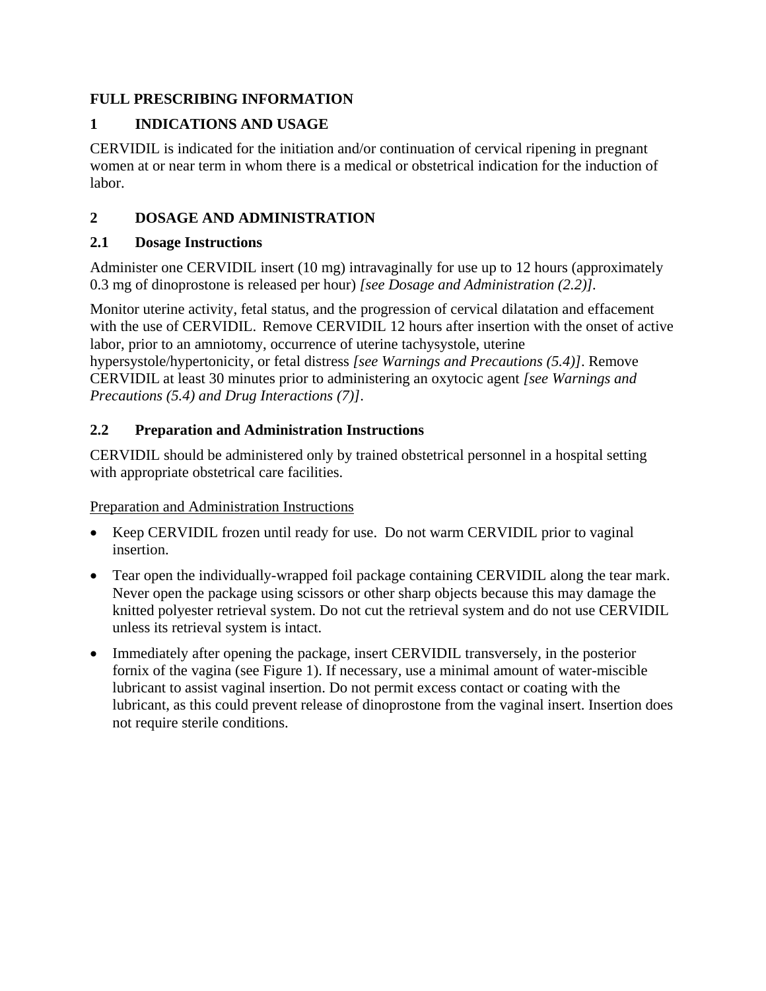# **FULL PRESCRIBING INFORMATION**

# **1 INDICATIONS AND USAGE**

CERVIDIL is indicated for the initiation and/or continuation of cervical ripening in pregnant women at or near term in whom there is a medical or obstetrical indication for the induction of labor.

# **2 DOSAGE AND ADMINISTRATION**

# **2.1 Dosage Instructions**

Administer one CERVIDIL insert (10 mg) intravaginally for use up to 12 hours (approximately 0.3 mg of dinoprostone is released per hour) *[see Dosage and Administration (2.2)].* 

Monitor uterine activity, fetal status, and the progression of cervical dilatation and effacement with the use of CERVIDIL. Remove CERVIDIL 12 hours after insertion with the onset of active labor, prior to an amniotomy, occurrence of uterine tachysystole, uterine hypersystole/hypertonicity, or fetal distress *[see Warnings and Precautions (5.4)]*. Remove CERVIDIL at least 30 minutes prior to administering an oxytocic agent *[see Warnings and Precautions (5.4) and Drug Interactions (7)]*.

# **2.2 Preparation and Administration Instructions**

CERVIDIL should be administered only by trained obstetrical personnel in a hospital setting with appropriate obstetrical care facilities.

# Preparation and Administration Instructions

- Keep CERVIDIL frozen until ready for use. Do not warm CERVIDIL prior to vaginal insertion.
- Tear open the individually-wrapped foil package containing CERVIDIL along the tear mark. Never open the package using scissors or other sharp objects because this may damage the knitted polyester retrieval system. Do not cut the retrieval system and do not use CERVIDIL unless its retrieval system is intact.
- Immediately after opening the package, insert CERVIDIL transversely, in the posterior fornix of the vagina (see Figure 1). If necessary, use a minimal amount of water-miscible lubricant to assist vaginal insertion. Do not permit excess contact or coating with the lubricant, as this could prevent release of dinoprostone from the vaginal insert. Insertion does not require sterile conditions.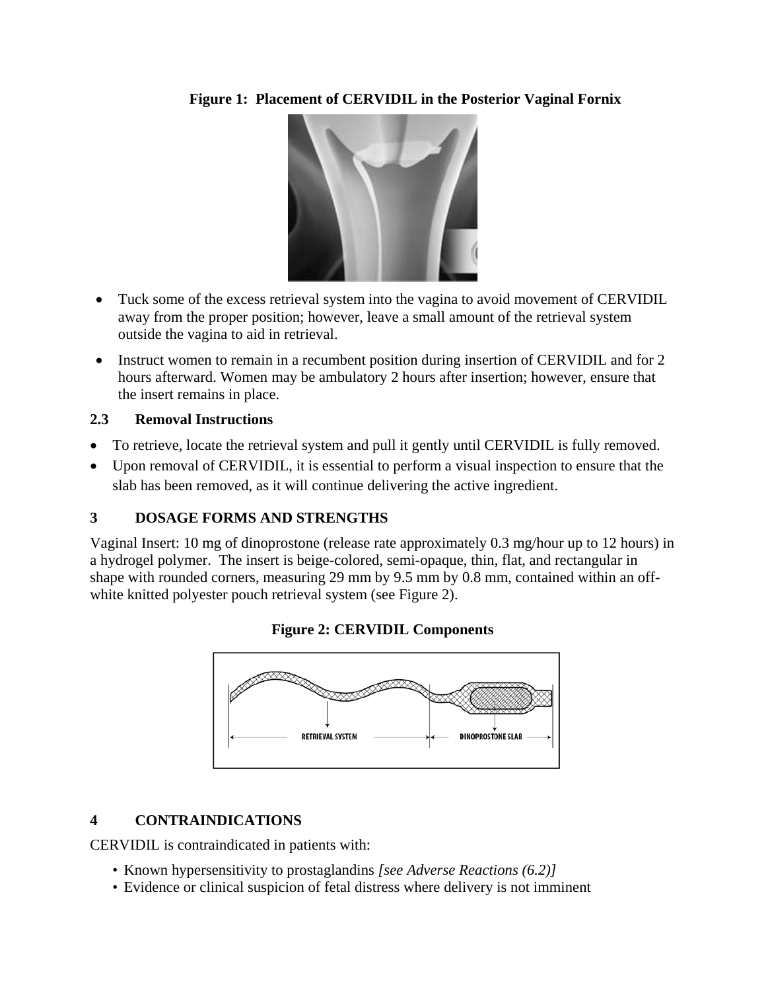**Figure 1: Placement of CERVIDIL in the Posterior Vaginal Fornix**

- Tuck some of the excess retrieval system into the vagina to avoid movement of CERVIDIL away from the proper position; however, leave a small amount of the retrieval system outside the vagina to aid in retrieval.
- Instruct women to remain in a recumbent position during insertion of CERVIDIL and for 2 hours afterward. Women may be ambulatory 2 hours after insertion; however, ensure that the insert remains in place.

# **2.3 Removal Instructions**

- To retrieve, locate the retrieval system and pull it gently until CERVIDIL is fully removed.
- Upon removal of CERVIDIL, it is essential to perform a visual inspection to ensure that the slab has been removed, as it will continue delivering the active ingredient.

# **3 DOSAGE FORMS AND STRENGTHS**

Vaginal Insert: 10 mg of dinoprostone (release rate approximately 0.3 mg/hour up to 12 hours) in a hydrogel polymer. The insert is beige-colored, semi-opaque, thin, flat, and rectangular in shape with rounded corners, measuring 29 mm by 9.5 mm by 0.8 mm, contained within an offwhite knitted polyester pouch retrieval system (see Figure 2).



# **Figure 2: CERVIDIL Components**

# **4 CONTRAINDICATIONS**

CERVIDIL is contraindicated in patients with:

- Known hypersensitivity to prostaglandins *[see Adverse Reactions (6.2)]*
- Evidence or clinical suspicion of fetal distress where delivery is not imminent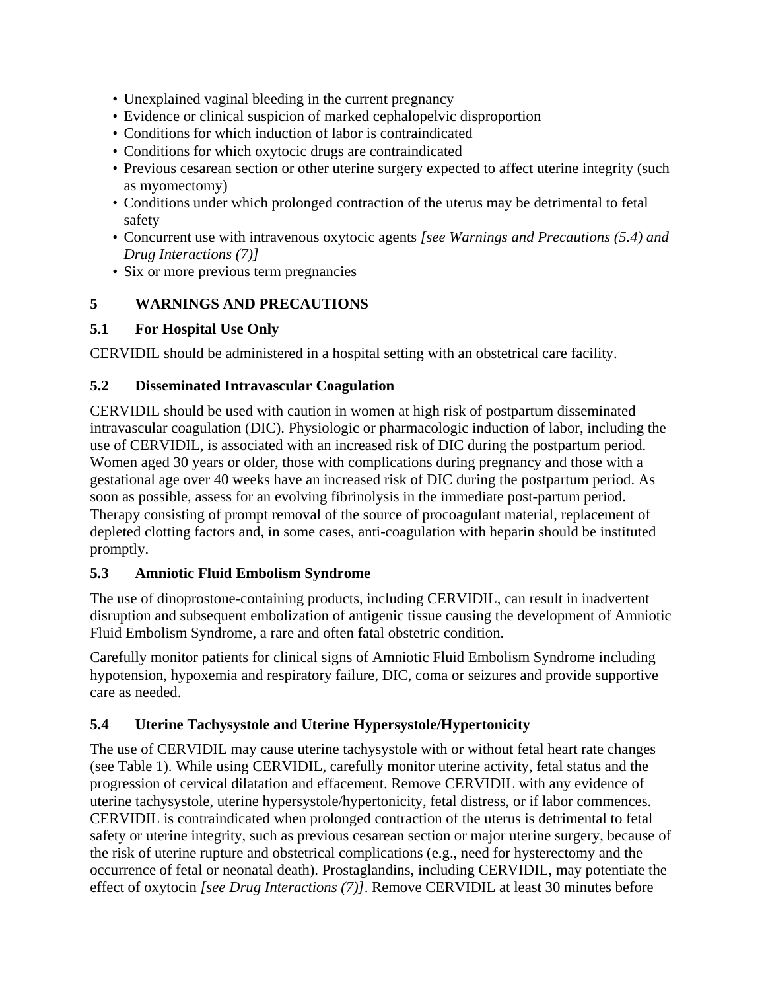- Unexplained vaginal bleeding in the current pregnancy
- Evidence or clinical suspicion of marked cephalopelvic disproportion
- Conditions for which induction of labor is contraindicated
- Conditions for which oxytocic drugs are contraindicated
- Previous cesarean section or other uterine surgery expected to affect uterine integrity (such as myomectomy)
- Conditions under which prolonged contraction of the uterus may be detrimental to fetal safety
- Concurrent use with intravenous oxytocic agents *[see Warnings and Precautions (5.4) and Drug Interactions (7)]*
- Six or more previous term pregnancies

# **5 WARNINGS AND PRECAUTIONS**

# **5.1 For Hospital Use Only**

CERVIDIL should be administered in a hospital setting with an obstetrical care facility.

# **5.2 Disseminated Intravascular Coagulation**

CERVIDIL should be used with caution in women at high risk of postpartum disseminated intravascular coagulation (DIC). Physiologic or pharmacologic induction of labor, including the use of CERVIDIL, is associated with an increased risk of DIC during the postpartum period. Women aged 30 years or older, those with complications during pregnancy and those with a gestational age over 40 weeks have an increased risk of DIC during the postpartum period. As soon as possible, assess for an evolving fibrinolysis in the immediate post-partum period. Therapy consisting of prompt removal of the source of procoagulant material, replacement of depleted clotting factors and, in some cases, anti-coagulation with heparin should be instituted promptly.

# **5.3 Amniotic Fluid Embolism Syndrome**

The use of dinoprostone-containing products, including CERVIDIL, can result in inadvertent disruption and subsequent embolization of antigenic tissue causing the development of Amniotic Fluid Embolism Syndrome, a rare and often fatal obstetric condition.

Carefully monitor patients for clinical signs of Amniotic Fluid Embolism Syndrome including hypotension, hypoxemia and respiratory failure, DIC, coma or seizures and provide supportive care as needed.

# **5.4 Uterine Tachysystole and Uterine Hypersystole/Hypertonicity**

The use of CERVIDIL may cause uterine tachysystole with or without fetal heart rate changes (see Table 1). While using CERVIDIL, carefully monitor uterine activity, fetal status and the progression of cervical dilatation and effacement. Remove CERVIDIL with any evidence of uterine tachysystole, uterine hypersystole/hypertonicity, fetal distress, or if labor commences. CERVIDIL is contraindicated when prolonged contraction of the uterus is detrimental to fetal safety or uterine integrity, such as previous cesarean section or major uterine surgery, because of the risk of uterine rupture and obstetrical complications (e.g., need for hysterectomy and the occurrence of fetal or neonatal death). Prostaglandins, including CERVIDIL, may potentiate the effect of oxytocin *[see Drug Interactions (7)]*. Remove CERVIDIL at least 30 minutes before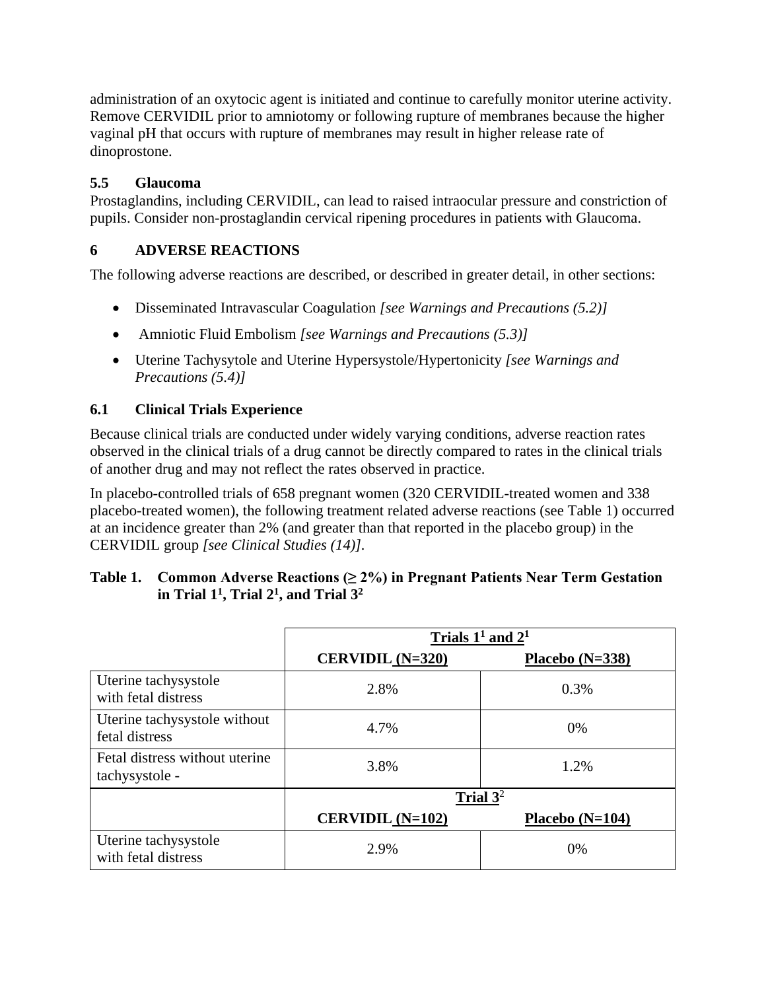administration of an oxytocic agent is initiated and continue to carefully monitor uterine activity. Remove CERVIDIL prior to amniotomy or following rupture of membranes because the higher vaginal pH that occurs with rupture of membranes may result in higher release rate of dinoprostone.

# **5.5 Glaucoma**

Prostaglandins, including CERVIDIL, can lead to raised intraocular pressure and constriction of pupils. Consider non-prostaglandin cervical ripening procedures in patients with Glaucoma.

# **6 ADVERSE REACTIONS**

The following adverse reactions are described, or described in greater detail, in other sections:

- Disseminated Intravascular Coagulation *[see Warnings and Precautions (5.2)]*
- Amniotic Fluid Embolism *[see Warnings and Precautions (5.3)]*
- Uterine Tachysytole and Uterine Hypersystole/Hypertonicity *[see Warnings and Precautions (5.4)]*

# **6.1 Clinical Trials Experience**

Because clinical trials are conducted under widely varying conditions, adverse reaction rates observed in the clinical trials of a drug cannot be directly compared to rates in the clinical trials of another drug and may not reflect the rates observed in practice.

In placebo-controlled trials of 658 pregnant women (320 CERVIDIL-treated women and 338 placebo-treated women), the following treatment related adverse reactions (see Table 1) occurred at an incidence greater than 2% (and greater than that reported in the placebo group) in the CERVIDIL group *[see Clinical Studies (14)].* 

| Table 1. Common Adverse Reactions $(\geq 2\%)$ in Pregnant Patients Near Term Gestation |
|-----------------------------------------------------------------------------------------|
| in Trial $11$ , Trial $21$ , and Trial $32$                                             |

|                                                  | Trials $11$ and $21$      |                   |  |
|--------------------------------------------------|---------------------------|-------------------|--|
|                                                  | CERVIDIL $(N=320)$        | Placebo $(N=338)$ |  |
| Uterine tachysystole<br>with fetal distress      | 2.8%                      | 0.3%              |  |
| Uterine tachysystole without<br>fetal distress   | 4.7%                      | 0%                |  |
| Fetal distress without uterine<br>tachysystole - | 3.8%                      | 1.2%              |  |
|                                                  | Trial $3^2$               |                   |  |
|                                                  | <b>CERVIDIL</b> $(N=102)$ | Placebo $(N=104)$ |  |
| Uterine tachysystole<br>with fetal distress      | 2.9%                      | 0%                |  |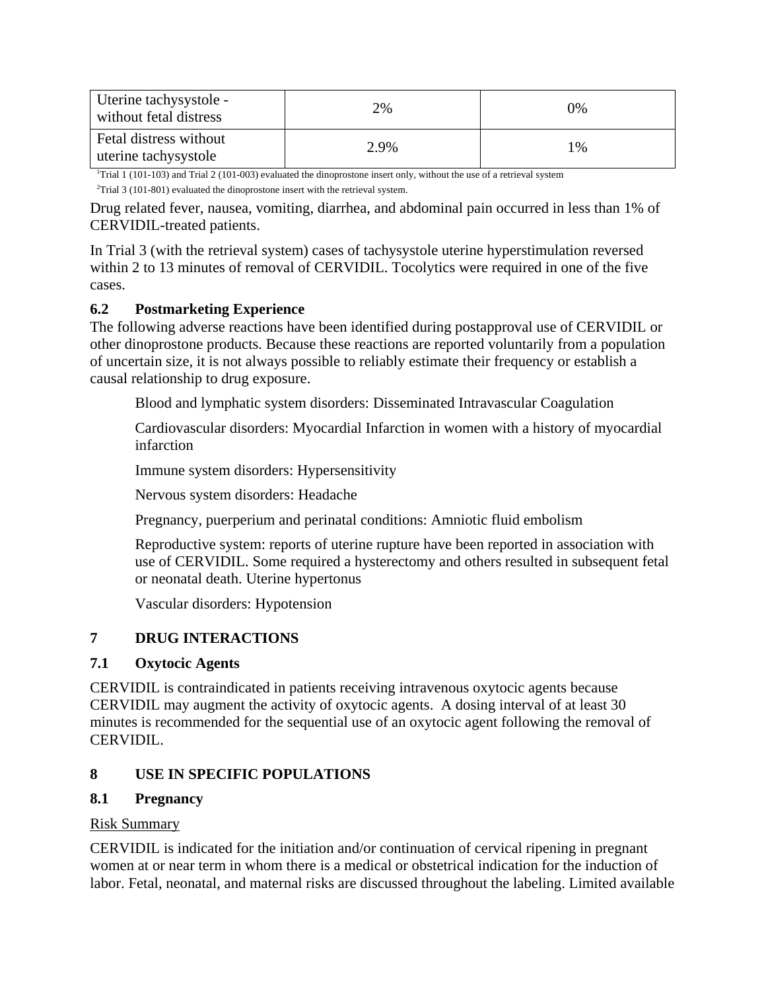| Uterine tachysystole -<br>without fetal distress | 2%   | 0% |
|--------------------------------------------------|------|----|
| Fetal distress without<br>uterine tachysystole   | 2.9% | 1% |

1 Trial 1 (101-103) and Trial 2 (101-003) evaluated the dinoprostone insert only, without the use of a retrieval system  $2$ Trial 3 (101-801) evaluated the dinoprostone insert with the retrieval system.

Drug related fever, nausea, vomiting, diarrhea, and abdominal pain occurred in less than 1% of CERVIDIL-treated patients.

In Trial 3 (with the retrieval system) cases of tachysystole uterine hyperstimulation reversed within 2 to 13 minutes of removal of CERVIDIL. Tocolytics were required in one of the five cases.

# **6.2 Postmarketing Experience**

The following adverse reactions have been identified during postapproval use of CERVIDIL or other dinoprostone products. Because these reactions are reported voluntarily from a population of uncertain size, it is not always possible to reliably estimate their frequency or establish a causal relationship to drug exposure.

Blood and lymphatic system disorders: Disseminated Intravascular Coagulation

Cardiovascular disorders: Myocardial Infarction in women with a history of myocardial infarction

Immune system disorders: Hypersensitivity

Nervous system disorders: Headache

Pregnancy, puerperium and perinatal conditions: Amniotic fluid embolism

Reproductive system: reports of uterine rupture have been reported in association with use of CERVIDIL. Some required a hysterectomy and others resulted in subsequent fetal or neonatal death. Uterine hypertonus

Vascular disorders: Hypotension

# **7 DRUG INTERACTIONS**

## **7.1 Oxytocic Agents**

CERVIDIL is contraindicated in patients receiving intravenous oxytocic agents because CERVIDIL may augment the activity of oxytocic agents. A dosing interval of at least 30 minutes is recommended for the sequential use of an oxytocic agent following the removal of CERVIDIL.

# **8 USE IN SPECIFIC POPULATIONS**

## **8.1 Pregnancy**

## Risk Summary

CERVIDIL is indicated for the initiation and/or continuation of cervical ripening in pregnant women at or near term in whom there is a medical or obstetrical indication for the induction of labor. Fetal, neonatal, and maternal risks are discussed throughout the labeling. Limited available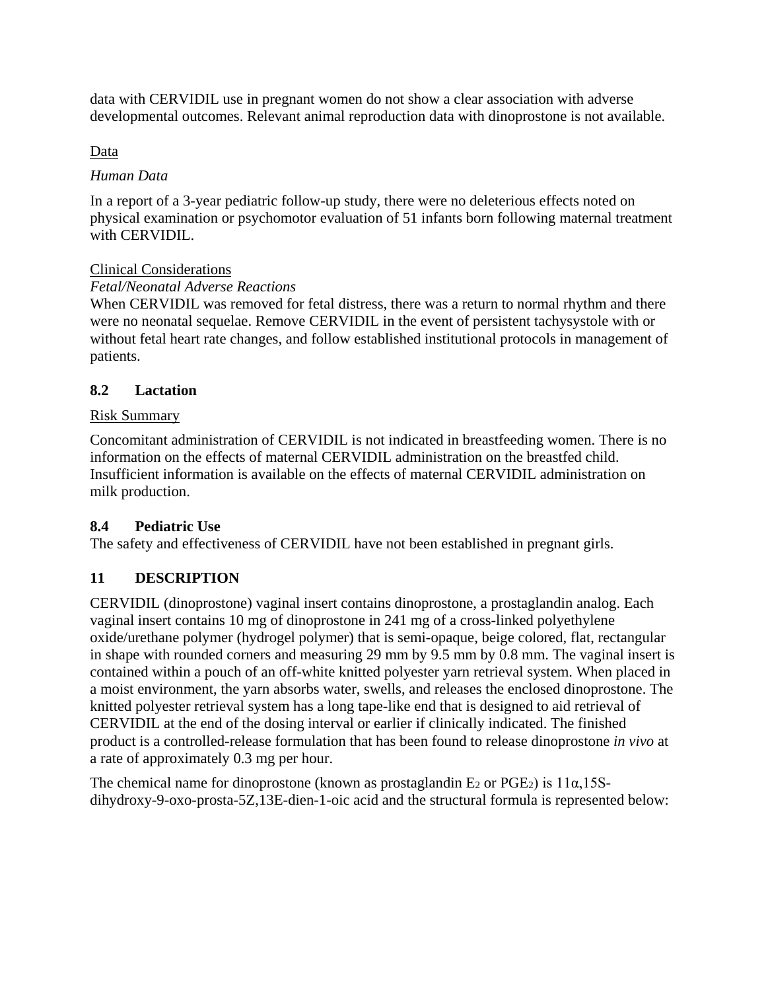data with CERVIDIL use in pregnant women do not show a clear association with adverse developmental outcomes. Relevant animal reproduction data with dinoprostone is not available.

# Data

## *Human Data*

In a report of a 3-year pediatric follow-up study, there were no deleterious effects noted on physical examination or psychomotor evaluation of 51 infants born following maternal treatment with CERVIDIL.

## Clinical Considerations

## *Fetal/Neonatal Adverse Reactions*

When CERVIDIL was removed for fetal distress, there was a return to normal rhythm and there were no neonatal sequelae. Remove CERVIDIL in the event of persistent tachysystole with or without fetal heart rate changes, and follow established institutional protocols in management of patients.

## **8.2 Lactation**

## Risk Summary

Concomitant administration of CERVIDIL is not indicated in breastfeeding women. There is no information on the effects of maternal CERVIDIL administration on the breastfed child. Insufficient information is available on the effects of maternal CERVIDIL administration on milk production.

## **8.4 Pediatric Use**

The safety and effectiveness of CERVIDIL have not been established in pregnant girls.

## **11 DESCRIPTION**

CERVIDIL (dinoprostone) vaginal insert contains dinoprostone, a prostaglandin analog. Each vaginal insert contains 10 mg of dinoprostone in 241 mg of a cross-linked polyethylene oxide/urethane polymer (hydrogel polymer) that is semi-opaque, beige colored, flat, rectangular in shape with rounded corners and measuring 29 mm by 9.5 mm by 0.8 mm. The vaginal insert is contained within a pouch of an off-white knitted polyester yarn retrieval system. When placed in a moist environment, the yarn absorbs water, swells, and releases the enclosed dinoprostone. The knitted polyester retrieval system has a long tape-like end that is designed to aid retrieval of CERVIDIL at the end of the dosing interval or earlier if clinically indicated. The finished product is a controlled-release formulation that has been found to release dinoprostone *in vivo* at a rate of approximately 0.3 mg per hour.

The chemical name for dinoprostone (known as prostaglandin  $E_2$  or PGE<sub>2</sub>) is 11 $\alpha$ ,15Sdihydroxy-9-oxo-prosta-5Z,13E-dien-1-oic acid and the structural formula is represented below: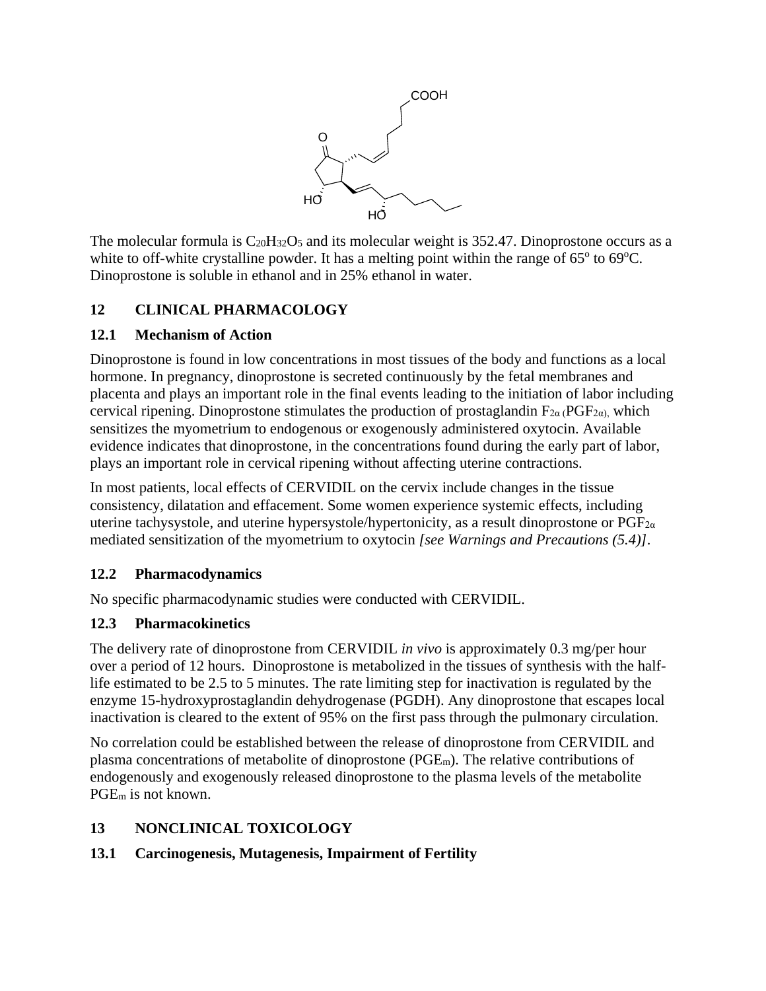

The molecular formula is  $C_{20}H_{32}O_5$  and its molecular weight is 352.47. Dinoprostone occurs as a white to off-white crystalline powder. It has a melting point within the range of  $65^{\circ}$  to  $69^{\circ}$ C. Dinoprostone is soluble in ethanol and in 25% ethanol in water.

# **12 CLINICAL PHARMACOLOGY**

# **12.1 Mechanism of Action**

Dinoprostone is found in low concentrations in most tissues of the body and functions as a local hormone. In pregnancy, dinoprostone is secreted continuously by the fetal membranes and placenta and plays an important role in the final events leading to the initiation of labor including cervical ripening. Dinoprostone stimulates the production of prostaglandin  $F_{2\alpha}$  (PGF<sub>2 $\alpha$ )</sub>, which sensitizes the myometrium to endogenous or exogenously administered oxytocin. Available evidence indicates that dinoprostone, in the concentrations found during the early part of labor, plays an important role in cervical ripening without affecting uterine contractions.

In most patients, local effects of CERVIDIL on the cervix include changes in the tissue consistency, dilatation and effacement. Some women experience systemic effects, including uterine tachysystole, and uterine hypersystole/hypertonicity, as a result dinoprostone or  $PGF_{2\alpha}$ mediated sensitization of the myometrium to oxytocin *[see Warnings and Precautions (5.4)]*.

# **12.2 Pharmacodynamics**

No specific pharmacodynamic studies were conducted with CERVIDIL.

# **12.3 Pharmacokinetics**

The delivery rate of dinoprostone from CERVIDIL *in vivo* is approximately 0.3 mg/per hour over a period of 12 hours. Dinoprostone is metabolized in the tissues of synthesis with the halflife estimated to be 2.5 to 5 minutes. The rate limiting step for inactivation is regulated by the enzyme 15-hydroxyprostaglandin dehydrogenase (PGDH). Any dinoprostone that escapes local inactivation is cleared to the extent of 95% on the first pass through the pulmonary circulation.

No correlation could be established between the release of dinoprostone from CERVIDIL and plasma concentrations of metabolite of dinoprostone (PGEm). The relative contributions of endogenously and exogenously released dinoprostone to the plasma levels of the metabolite PGEm is not known.

# **13 NONCLINICAL TOXICOLOGY**

# **13.1 Carcinogenesis, Mutagenesis, Impairment of Fertility**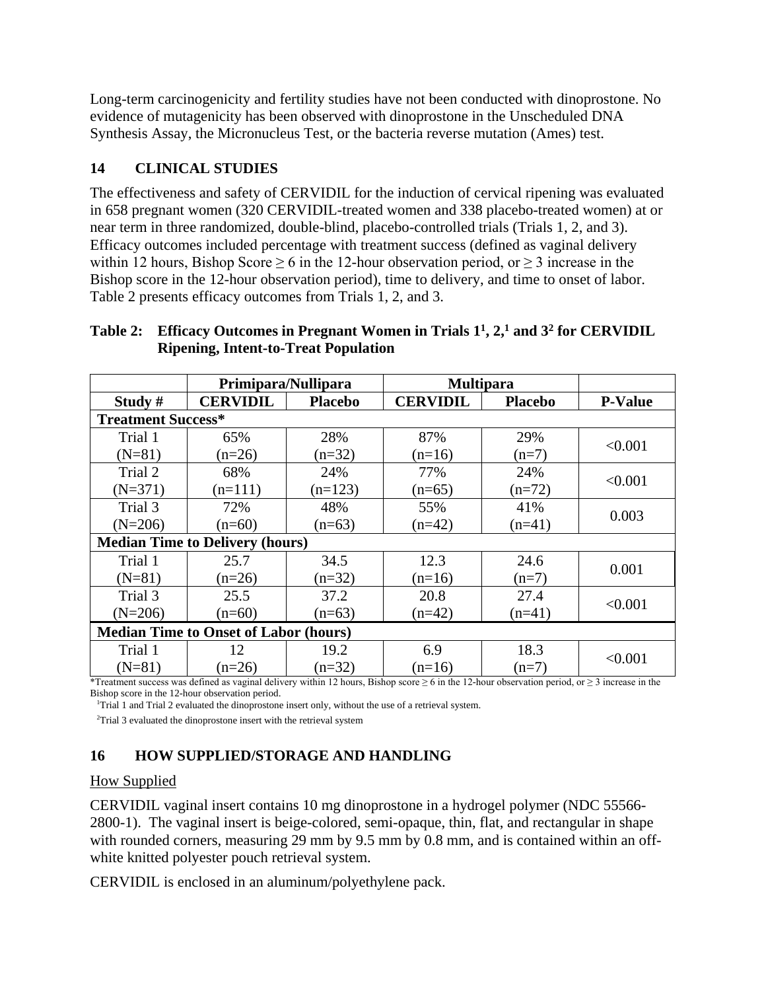Long-term carcinogenicity and fertility studies have not been conducted with dinoprostone. No evidence of mutagenicity has been observed with dinoprostone in the Unscheduled DNA Synthesis Assay, the Micronucleus Test, or the bacteria reverse mutation (Ames) test.

# **14 CLINICAL STUDIES**

The effectiveness and safety of CERVIDIL for the induction of cervical ripening was evaluated in 658 pregnant women (320 CERVIDIL-treated women and 338 placebo-treated women) at or near term in three randomized, double-blind, placebo-controlled trials (Trials 1, 2, and 3). Efficacy outcomes included percentage with treatment success (defined as vaginal delivery within 12 hours, Bishop Score  $\geq 6$  in the 12-hour observation period, or  $\geq 3$  increase in the Bishop score in the 12-hour observation period), time to delivery, and time to onset of labor. Table 2 presents efficacy outcomes from Trials 1, 2, and 3.

## **Table 2: Efficacy Outcomes in Pregnant Women in Trials 11 , 2,1 and 32 for CERVIDIL Ripening, Intent-to-Treat Population**

|                                              | Primipara/Nullipara |                | <b>Multipara</b> |                |                |  |  |
|----------------------------------------------|---------------------|----------------|------------------|----------------|----------------|--|--|
| Study #                                      | <b>CERVIDIL</b>     | <b>Placebo</b> | <b>CERVIDIL</b>  | <b>Placebo</b> | <b>P-Value</b> |  |  |
| <b>Treatment Success*</b>                    |                     |                |                  |                |                |  |  |
| Trial 1                                      | 65%                 | 28%            | 87%              | 29%            | < 0.001        |  |  |
| $(N=81)$                                     | $(n=26)$            | $(n=32)$       | $(n=16)$         | $(n=7)$        |                |  |  |
| Trial 2                                      | 68%                 | 24%            | 77%              | 24%            | < 0.001        |  |  |
| $(N=371)$                                    | $(n=111)$           | $(n=123)$      | $(n=65)$         | $(n=72)$       |                |  |  |
| Trial 3                                      | 72%                 | 48%            | 55%              | 41%            |                |  |  |
| $(N=206)$                                    | $(n=60)$            | $(n=63)$       | $(n=42)$         | $(n=41)$       | 0.003          |  |  |
| <b>Median Time to Delivery (hours)</b>       |                     |                |                  |                |                |  |  |
| Trial 1                                      | 25.7                | 34.5           | 12.3             | 24.6           | 0.001          |  |  |
| $(N=81)$                                     | $(n=26)$            | $(n=32)$       | $(n=16)$         | $(n=7)$        |                |  |  |
| Trial 3                                      | 25.5                | 37.2           | 20.8             | 27.4           |                |  |  |
| $(N=206)$                                    | $(n=60)$            | $(n=63)$       | $(n=42)$         | $(n=41)$       | < 0.001        |  |  |
| <b>Median Time to Onset of Labor (hours)</b> |                     |                |                  |                |                |  |  |
| Trial 1                                      | 12                  | 19.2           | 6.9              | 18.3           | < 0.001        |  |  |
| $(N=81)$                                     | $(n=26)$            | $(n=32)$       | $(n=16)$         | $(n=7)$        |                |  |  |

\*Treatment success was defined as vaginal delivery within 12 hours, Bishop score  $\geq 6$  in the 12-hour observation period, or  $\geq 3$  increase in the Bishop score in the 12-hour observation period.

<sup>1</sup>Trial 1 and Trial 2 evaluated the dinoprostone insert only, without the use of a retrieval system.

<sup>2</sup>Trial 3 evaluated the dinoprostone insert with the retrieval system

# **16 HOW SUPPLIED/STORAGE AND HANDLING**

## How Supplied

CERVIDIL vaginal insert contains 10 mg dinoprostone in a hydrogel polymer (NDC 55566- 2800-1). The vaginal insert is beige-colored, semi-opaque, thin, flat, and rectangular in shape with rounded corners, measuring 29 mm by 9.5 mm by 0.8 mm, and is contained within an offwhite knitted polyester pouch retrieval system.

CERVIDIL is enclosed in an aluminum/polyethylene pack.